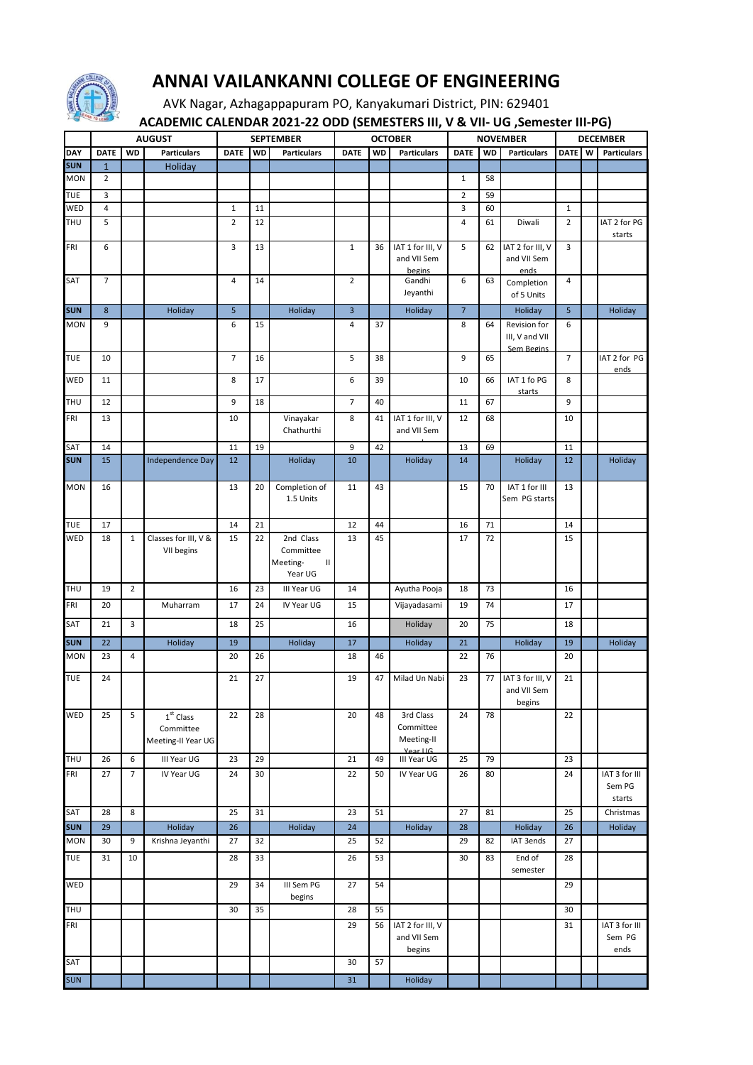

## **ANNAI VAILANKANNI COLLEGE OF ENGINEERING**

AVK Nagar, Azhagappapuram PO, Kanyakumari District, PIN: 629401  **ACADEMIC CALENDAR 2021-22 ODD (SEMESTERS III, V & VII- UG ,Semester III-PG)**

|            | <b>AUGUST</b>    |                | <b>SEPTEMBER</b>                               |                |           | . .<br>,<br><b>OCTOBER</b>                                     |                |           | $\overline{\phantom{a}}$<br>-- ,-- -<br><b>NOVEMBER</b> |                |    | <b>.</b><br><b>DECEMBER</b>                         |                |   |                                   |
|------------|------------------|----------------|------------------------------------------------|----------------|-----------|----------------------------------------------------------------|----------------|-----------|---------------------------------------------------------|----------------|----|-----------------------------------------------------|----------------|---|-----------------------------------|
|            |                  |                |                                                |                |           |                                                                |                |           |                                                         |                |    |                                                     |                |   |                                   |
| DAY        | <b>DATE</b>      | <b>WD</b>      | <b>Particulars</b>                             | <b>DATE</b>    | <b>WD</b> | <b>Particulars</b>                                             | <b>DATE</b>    | <b>WD</b> | <b>Particulars</b>                                      | <b>DATE</b>    | WD | <b>Particulars</b>                                  | <b>DATE</b>    | W | <b>Particulars</b>                |
| <b>SUN</b> | $\mathbf{1}$     |                | Holiday                                        |                |           |                                                                |                |           |                                                         |                |    |                                                     |                |   |                                   |
| MON        | $\overline{2}$   |                |                                                |                |           |                                                                |                |           |                                                         | $\mathbf{1}$   | 58 |                                                     |                |   |                                   |
| TUE        | 3                |                |                                                |                |           |                                                                |                |           |                                                         | $\overline{2}$ | 59 |                                                     |                |   |                                   |
| WED        | $\overline{4}$   |                |                                                | $1\,$          | 11        |                                                                |                |           |                                                         | 3              | 60 |                                                     | $\mathbf 1$    |   |                                   |
| THU        | 5                |                |                                                | $\overline{2}$ | 12        |                                                                |                |           |                                                         | 4              | 61 | Diwali                                              | $\overline{2}$ |   | IAT 2 for PG<br>starts            |
| FRI        | 6                |                |                                                | 3              | 13        |                                                                | $\mathbf{1}$   | 36        | IAT 1 for III, V                                        | 5              | 62 | IAT 2 for III, V                                    | 3              |   |                                   |
|            |                  |                |                                                |                |           |                                                                |                |           | and VII Sem                                             |                |    | and VII Sem                                         |                |   |                                   |
|            |                  |                |                                                |                |           |                                                                |                |           | begins                                                  |                |    | ends                                                |                |   |                                   |
| SAT        | $\overline{7}$   |                |                                                | $\overline{4}$ | 14        |                                                                | $\overline{2}$ |           | Gandhi<br>Jeyanthi                                      | 6              | 63 | Completion<br>of 5 Units                            | 4              |   |                                   |
| <b>SUN</b> | $\boldsymbol{8}$ |                | Holiday                                        | 5              |           | Holiday                                                        | 3              |           | Holiday                                                 | $\overline{7}$ |    | Holiday                                             | 5              |   | Holiday                           |
| <b>MON</b> | 9                |                |                                                | 6              | 15        |                                                                | 4              | 37        |                                                         | 8              | 64 | Revision for<br>III, V and VII<br><b>Sem Begins</b> | 6              |   |                                   |
| <b>TUE</b> | 10               |                |                                                | $\overline{7}$ | 16        |                                                                | 5              | 38        |                                                         | 9              | 65 |                                                     | $\overline{7}$ |   | IAT 2 for PG<br>ends              |
| WED        | 11               |                |                                                | 8              | 17        |                                                                | 6              | 39        |                                                         | 10             | 66 | IAT 1 fo PG<br>starts                               | 8              |   |                                   |
| THU        | 12               |                |                                                | 9              | 18        |                                                                | 7              | 40        |                                                         | 11             | 67 |                                                     | 9              |   |                                   |
| FRI        | 13               |                |                                                | 10             |           | Vinayakar<br>Chathurthi                                        | 8              | 41        | IAT 1 for III, V<br>and VII Sem                         | 12             | 68 |                                                     | 10             |   |                                   |
| SAT        | 14               |                |                                                | 11             | 19        |                                                                | 9              | 42        |                                                         | 13             | 69 |                                                     | 11             |   |                                   |
| <b>SUN</b> | 15               |                | Independence Day                               | 12             |           | Holiday                                                        | 10             |           | Holiday                                                 | 14             |    | Holiday                                             | 12             |   | Holiday                           |
| <b>MON</b> | 16               |                |                                                | 13             | 20        | Completion of<br>1.5 Units                                     | 11             | 43        |                                                         | 15             | 70 | IAT 1 for III<br>Sem PG starts                      | 13             |   |                                   |
| TUE        | 17               |                |                                                | 14             | 21        |                                                                | 12             | 44        |                                                         | 16             | 71 |                                                     | 14             |   |                                   |
| WED        | 18               | $\mathbf{1}$   | Classes for III, V &<br>VII begins             | 15             | 22        | 2nd Class<br>Committee<br>Meeting-<br>$\mathbf{II}$<br>Year UG | 13             | 45        |                                                         | 17             | 72 |                                                     | 15             |   |                                   |
| THU        | 19               | $\overline{2}$ |                                                | 16             | 23        | III Year UG                                                    | 14             |           | Ayutha Pooja                                            | 18             | 73 |                                                     | 16             |   |                                   |
| FRI        | 20               |                | Muharram                                       | 17             | 24        | IV Year UG                                                     | 15             |           | Vijayadasami                                            | 19             | 74 |                                                     | 17             |   |                                   |
|            |                  |                |                                                |                |           |                                                                |                |           |                                                         |                |    |                                                     |                |   |                                   |
| SAT        | 21               | 3              |                                                | 18             | 25        |                                                                | 16             |           | Holiday                                                 | 20             | 75 |                                                     | 18             |   |                                   |
| <b>SUN</b> | 22               |                | Holiday                                        | 19             |           | Holiday                                                        | 17             |           | Holiday                                                 | 21             |    | Holiday                                             | 19             |   | Holiday                           |
| MON        | 23               | 4              |                                                | 20             | 26        |                                                                | 18             | 46        |                                                         | 22             | 76 |                                                     | 20             |   |                                   |
| <b>TUE</b> | 24               |                |                                                | 21             | 27        |                                                                | 19             | 47        | Milad Un Nabi                                           | 23             | 77 | IAT 3 for III, V<br>and VII Sem<br>begins           | 21             |   |                                   |
| WED        | 25               | 5              | $1st$ Class<br>Committee<br>Meeting-II Year UG | 22             | 28        |                                                                | 20             | 48        | 3rd Class<br>Committee<br>Meeting-II<br>Vear LIG        | 24             | 78 |                                                     | 22             |   |                                   |
| THU        | 26               | 6              | III Year UG                                    | 23             | 29        |                                                                | 21             | 49        | III Year UG                                             | 25             | 79 |                                                     | 23             |   |                                   |
| FRI        | 27               | $\overline{7}$ | IV Year UG                                     | 24             | 30        |                                                                | 22             | 50        | IV Year UG                                              | 26             | 80 |                                                     | 24             |   | IAT 3 for III<br>Sem PG<br>starts |
| SAT        | 28               | 8              |                                                | 25             | 31        |                                                                | 23             | 51        |                                                         | 27             | 81 |                                                     | 25             |   | Christmas                         |
| <b>SUN</b> | 29               |                | Holiday                                        | 26             |           | Holiday                                                        | 24             |           | Holiday                                                 | 28             |    | Holiday                                             | 26             |   | Holiday                           |
| MON        | 30               | 9              | Krishna Jeyanthi                               | 27             | 32        |                                                                | 25             | 52        |                                                         | 29             | 82 | IAT 3ends                                           | 27             |   |                                   |
| <b>TUE</b> | 31               | 10             |                                                | 28             | 33        |                                                                | 26             | 53        |                                                         | 30             | 83 | End of<br>semester                                  | 28             |   |                                   |
| WED        |                  |                |                                                | 29             | 34        | III Sem PG<br>begins                                           | 27             | 54        |                                                         |                |    |                                                     | 29             |   |                                   |
| THU        |                  |                |                                                | 30             | 35        |                                                                | 28             | 55        |                                                         |                |    |                                                     | 30             |   |                                   |
| FRI        |                  |                |                                                |                |           |                                                                | 29             | 56        | IAT 2 for III, V<br>and VII Sem<br>begins               |                |    |                                                     | 31             |   | IAT 3 for III<br>Sem PG<br>ends   |
| SAT        |                  |                |                                                |                |           |                                                                | 30             | 57        |                                                         |                |    |                                                     |                |   |                                   |
| <b>SUN</b> |                  |                |                                                |                |           |                                                                | 31             |           | Holiday                                                 |                |    |                                                     |                |   |                                   |